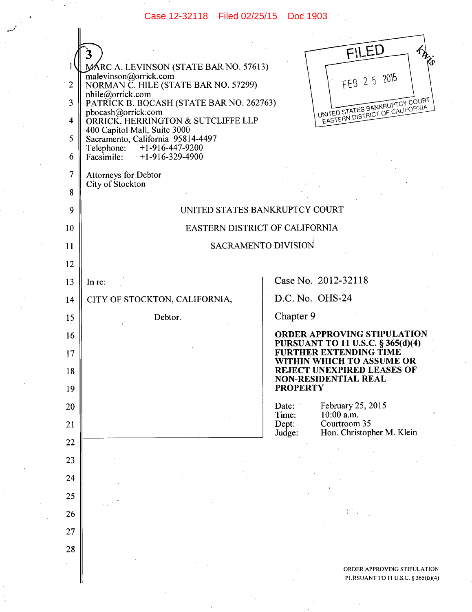Case 12-32118 Filed 02/25/15 Doc 1903

|                |                                                                                                      | FILED<br>R.                                                    |
|----------------|------------------------------------------------------------------------------------------------------|----------------------------------------------------------------|
|                | MÁRC A. LEVINSON (STATE BAR NO. 57613)                                                               |                                                                |
| $\overline{2}$ | malevinson@orrick.com<br>NORMAN C. HILE (STATE BAR NO. 57299)<br>FEB 2 5 2015<br>nhile@orrick.com    |                                                                |
| 3              | UNITED STATES BANKRUPTCY COURT<br>PATRICK B. BOCASH (STATE BAR NO. 262763)<br>pbocash@orrick.com     |                                                                |
| 4              | EASTERN DISTRICT OF CALIFORNIA<br>ORRICK, HERRINGTON & SUTCLIFFE LLP<br>400 Capitol Mall, Suite 3000 |                                                                |
| 5              | Sacramento, California 95814-4497<br>Telephone: +1-916-447-9200                                      |                                                                |
| 6.             | Facsimile: $+1-916-329-4900$                                                                         |                                                                |
| 7              | Attorneys for Debtor                                                                                 |                                                                |
| 8              | City of Stockton                                                                                     |                                                                |
| 9              | UNITED STATES BANKRUPTCY COURT                                                                       |                                                                |
| 10             | EASTERN DISTRICT OF CALIFORNIA                                                                       |                                                                |
| 11             | <b>SACRAMENTO DIVISION</b>                                                                           |                                                                |
| 12             |                                                                                                      |                                                                |
| 13             | In re:                                                                                               | Case No. 2012-32118                                            |
| 14             | CITY OF STOCKTON, CALIFORNIA,                                                                        | D.C. No. OHS-24                                                |
| 15             | Debtor.                                                                                              | Chapter 9                                                      |
| $\cdot 16$     |                                                                                                      | <b>ORDER APPROVING STIPULATION</b>                             |
| 17             |                                                                                                      | PURSUANT TO 11 U.S.C. § 365(d)(4)<br>FURTHER EXTENDING TIME    |
| 18             |                                                                                                      | WITHIN WHICH TO ASSUME OR<br><b>REJECT UNEXPIRED LEASES OF</b> |
| 19             |                                                                                                      | <b>NON-RESIDENTIAL REAL</b><br><b>PROPERTY</b>                 |
| 20             |                                                                                                      | February 25, 2015<br>Date:                                     |
| 21             |                                                                                                      | $10:00$ a.m.<br>Time:<br>Courtroom 35<br>Dept:                 |
| 22             |                                                                                                      | Hon. Christopher M. Klein<br>Judge:                            |
| 23             |                                                                                                      |                                                                |
| 24             |                                                                                                      |                                                                |
| 25             |                                                                                                      |                                                                |
| 26             |                                                                                                      |                                                                |
| 27             |                                                                                                      |                                                                |
| 28             |                                                                                                      |                                                                |
|                |                                                                                                      | ORDER APPROVING STIPULATION                                    |
|                |                                                                                                      | PURSUANT TO 11 U.S.C. § 365(D)(4                               |

 $\mathcal{L}$ 

 $\cdot$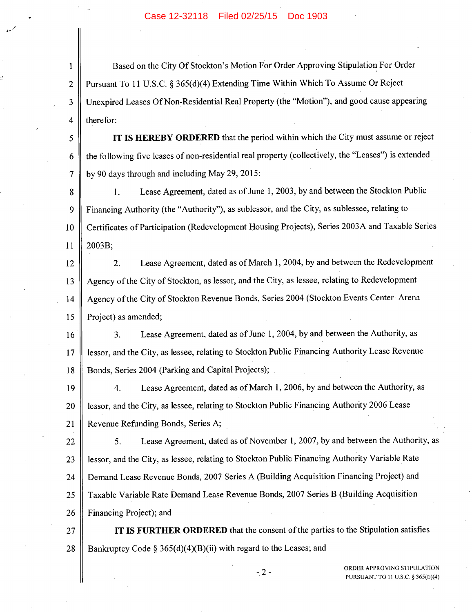## Case 12-32118 Filed 02/25/15 Doc 1903

1 Based on the City Of Stockton's Motion For Order Approving Stipulation For Order 2 Pursuant To 11 U.S.C. § *365(d)(4)* Extending Time Within Which To Assume Or Reject 3 Unexpired Leases Of Non-Residential Real Property (the "Motion"), and good cause appearing 4  $\parallel$  therefor:

*<sup>5</sup>***IT IS HEREBY ORDERED** that the period within which the City must assume or reject 6 | the following five leases of non-residential real property (collectively, the "Leases") is extended 7 by 90 days through and including May 29, 2015:

8 1. Lease Agreement, dated as of June 1, 2003, by and between the Stockton Public 9 | Financing Authority (the "Authority"), as sublessor, and the City, as sublessee, relating to 10 Certificates of Participation (Redevelopment Housing Projects), Series 2003A and Taxable Series 11 | 2003B;

12 || 2. Lease Agreement, dated as of March 1, 2004, by and between the Redevelopment 13 | Agency of the City of Stockton, as lessor, and the City, as lessee, relating to Redevelopment 14 | Agency of the City of Stockton Revenue Bonds, Series 2004 (Stockton Events Center-Arena 15 | Project) as amended;

16 || 3. Lease Agreement, dated as of June 1, 2004, by and between the Authority, as 17 | lessor, and the City, as lessee, relating to Stockton Public Financing Authority Lease Revenue 18 Bonds, Series 2004 (Parking and Capital Projects);

19 || 4. Lease Agreement, dated as of March 1, 2006, by and between the Authority, as 20 | lessor, and the City, as lessee, relating to Stockton Public Financing Authority 2006 Lease 21 || Revenue Refunding Bonds, Series A;

22 *5.* Lease Agreement, dated as of November 1, 2007, by and between the Authority, as 23 | lessor, and the City, as lessee, relating to Stockton Public Financing Authority Variable Rate 24 | Demand Lease Revenue Bonds, 2007 Series A (Building Acquisition Financing Project) and 25 | Taxable Variable Rate Demand Lease Revenue Bonds, 2007 Series B (Building Acquisition 26 Financing Project); and

27 IT **IS FURTHER ORDERED** that the consent of the parties to the Stipulation satisfies 28 Bankruptcy Code § 365(d)(4)(B)(ii) with regard to the Leases; and

ORDER APPROVING STIPULATION PURSUANT TO 11 U.S.C. § 365(D)(4)